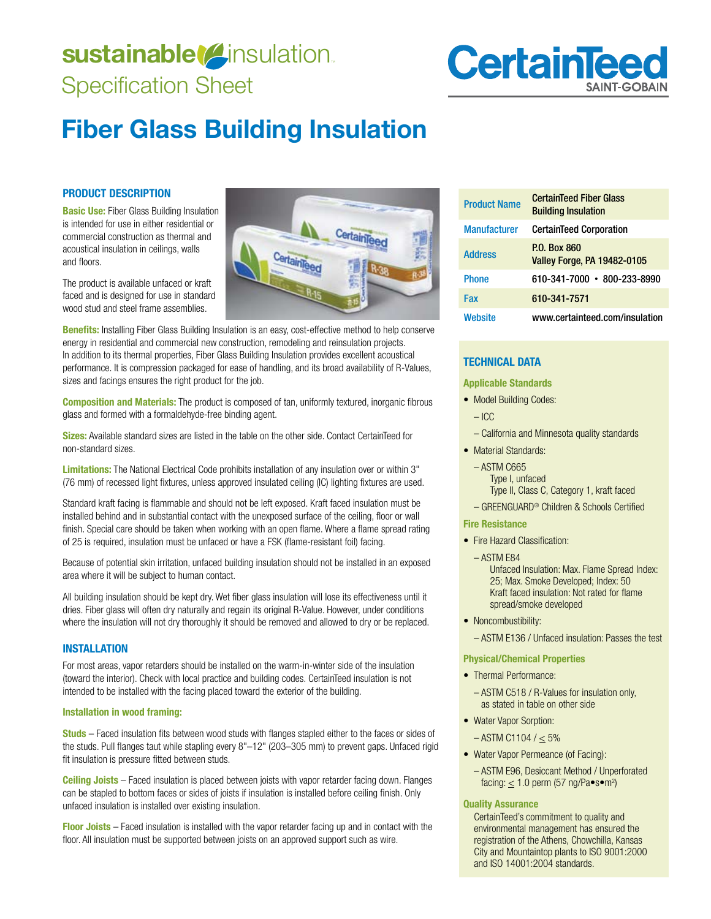# sustainable<sup>(2</sup>insulation. Specification Sheet

# **CertainTee**

# **Fiber Glass Building Insulation**

#### **PRODUCT DESCRIPTION**

**Basic Use:** Fiber Glass Building Insulation is intended for use in either residential or commercial construction as thermal and acoustical insulation in ceilings, walls and floors.

The product is available unfaced or kraft faced and is designed for use in standard wood stud and steel frame assemblies.

**Benefits:** Installing Fiber Glass Building Insulation is an easy, cost-effective method to help conserve energy in residential and commercial new construction, remodeling and reinsulation projects. In addition to its thermal properties, Fiber Glass Building Insulation provides excellent acoustical performance. It is compression packaged for ease of handling, and its broad availability of R-Values, sizes and facings ensures the right product for the job.

**Composition and Materials:** The product is composed of tan, uniformly textured, inorganic fibrous glass and formed with a formaldehyde-free binding agent.

**Sizes:** Available standard sizes are listed in the table on the other side. Contact CertainTeed for non-standard sizes.

**Limitations:** The National Electrical Code prohibits installation of any insulation over or within 3" (76 mm) of recessed light fixtures, unless approved insulated ceiling (IC) lighting fixtures are used.

Standard kraft facing is flammable and should not be left exposed. Kraft faced insulation must be installed behind and in substantial contact with the unexposed surface of the ceiling, floor or wall finish. Special care should be taken when working with an open flame. Where a flame spread rating of 25 is required, insulation must be unfaced or have a FSK (flame-resistant foil) facing.

Because of potential skin irritation, unfaced building insulation should not be installed in an exposed area where it will be subject to human contact.

All building insulation should be kept dry. Wet fiber glass insulation will lose its effectiveness until it dries. Fiber glass will often dry naturally and regain its original R-Value. However, under conditions where the insulation will not dry thoroughly it should be removed and allowed to dry or be replaced.

#### **INSTALLATION**

For most areas, vapor retarders should be installed on the warm-in-winter side of the insulation (toward the interior). Check with local practice and building codes. CertainTeed insulation is not intended to be installed with the facing placed toward the exterior of the building.

#### **Installation in wood framing:**

**Studs** – Faced insulation fits between wood studs with flanges stapled either to the faces or sides of the studs. Pull flanges taut while stapling every 8"–12" (203–305 mm) to prevent gaps. Unfaced rigid fit insulation is pressure fitted between studs.

**Ceiling Joists** – Faced insulation is placed between joists with vapor retarder facing down. Flanges can be stapled to bottom faces or sides of joists if insulation is installed before ceiling finish. Only unfaced insulation is installed over existing insulation.

**Floor Joists** – Faced insulation is installed with the vapor retarder facing up and in contact with the floor. All insulation must be supported between joists on an approved support such as wire.

| <b>Product Name</b> | <b>CertainTeed Fiber Glass</b><br><b>Building Insulation</b> |
|---------------------|--------------------------------------------------------------|
| <b>Manufacturer</b> | <b>CertainTeed Corporation</b>                               |
| <b>Address</b>      | P.O. Box 860<br><b>Valley Forge, PA 19482-0105</b>           |
| <b>Phone</b>        | 610-341-7000 • 800-233-8990                                  |
| Fax                 | 610-341-7571                                                 |
| Website             | www.certainteed.com/insulation                               |

## **TECHNICAL DATA**

#### **Applicable Standards**

- Model Building Codes:
	- ICC
	- California and Minnesota quality standards
- Material Standards:
	- $-$  ASTM C665 Type I, unfaced Type II, Class C, Category 1, kraft faced
	- GREENGUARD® Children & Schools Certified

#### **Fire Resistance**

- Fire Hazard Classification:
	- $-$  ASTM E84 Unfaced Insulation: Max. Flame Spread Index: 25; Max. Smoke Developed; Index: 50 Kraft faced insulation: Not rated for flame spread/smoke developed
- Noncombustibility:

- ASTM E136 / Unfaced insulation: Passes the test

#### **Physical/Chemical Properties**

- Thermal Performance:
	- ASTM C518 / R-Values for insulation only. as stated in table on other side
- Water Vapor Sorption:
	- $-$  ASTM C1104 /  $\leq$  5%
- Water Vapor Permeance (of Facing):
	- ASTM E96, Desiccant Method / Unperforated facing:  $\leq$  1.0 perm (57 ng/Pa $\bullet$ s $\bullet$ m<sup>2</sup>)

#### **Quality Assurance**

CertainTeed's commitment to quality and environmental management has ensured the registration of the Athens, Chowchilla, Kansas City and Mountaintop plants to ISO 9001:2000 and ISO 14001:2004 standards.